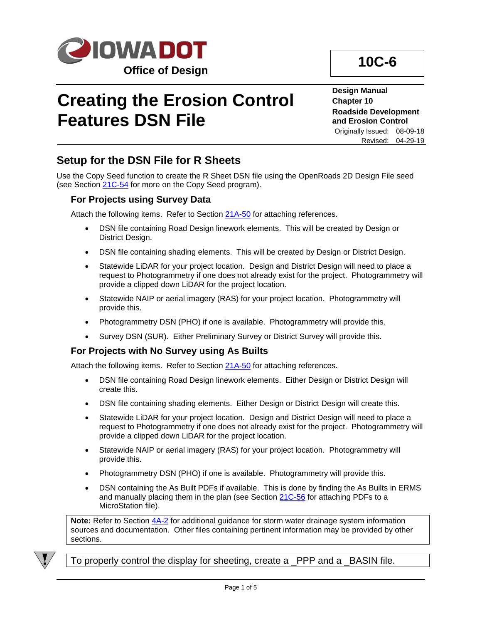

# **Creating the Erosion Control Features DSN File**

**Design Manual Chapter 10 Roadside Development and Erosion Control** Originally Issued: 08-09-18

Revised: 04-29-19

## **Setup for the DSN File for R Sheets**

Use the Copy Seed function to create the R Sheet DSN file using the OpenRoads 2D Design File seed (see Section [21C-54](21C-54.pdf) for more on the Copy Seed program).

#### **For Projects using Survey Data**

Attach the following items. Refer to Section [21A-50](21A-50.pdf) for attaching references.

- DSN file containing Road Design linework elements. This will be created by Design or District Design.
- DSN file containing shading elements. This will be created by Design or District Design.
- Statewide LiDAR for your project location. Design and District Design will need to place a request to Photogrammetry if one does not already exist for the project. Photogrammetry will provide a clipped down LiDAR for the project location.
- Statewide NAIP or aerial imagery (RAS) for your project location. Photogrammetry will provide this.
- Photogrammetry DSN (PHO) if one is available. Photogrammetry will provide this.
- Survey DSN (SUR). Either Preliminary Survey or District Survey will provide this.

#### **For Projects with No Survey using As Builts**

Attach the following items. Refer to Section [21A-50](21A-50.pdf) for attaching references.

- DSN file containing Road Design linework elements. Either Design or District Design will create this.
- DSN file containing shading elements. Either Design or District Design will create this.
- Statewide LiDAR for your project location. Design and District Design will need to place a request to Photogrammetry if one does not already exist for the project. Photogrammetry will provide a clipped down LiDAR for the project location.
- Statewide NAIP or aerial imagery (RAS) for your project location. Photogrammetry will provide this.
- Photogrammetry DSN (PHO) if one is available. Photogrammetry will provide this.
- DSN containing the As Built PDFs if available. This is done by finding the As Builts in ERMS and manually placing them in the plan (see Section [21C-56](21C-56.pdf) for attaching PDFs to a MicroStation file).

**Note:** Refer to Section [4A-2](04A-02.pdf) for additional guidance for storm water drainage system information sources and documentation. Other files containing pertinent information may be provided by other sections.



To properly control the display for sheeting, create a \_PPP and a \_BASIN file.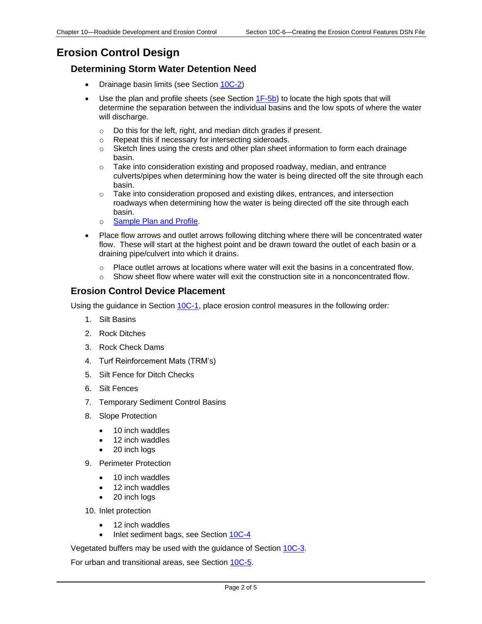## **Erosion Control Design**

#### **Determining Storm Water Detention Need**

- Drainage basin limits (see Section [10C-2\)](10C-02.pdf)
- Use the plan and profile sheets (see Section  $1F-5b$ ) to locate the high spots that will determine the separation between the individual basins and the low spots of where the water will discharge.
	- o Do this for the left, right, and median ditch grades if present.
	- o Repeat this if necessary for intersecting sideroads.
	- $\circ$  Sketch lines using the crests and other plan sheet information to form each drainage basin.
	- $\circ$  Take into consideration existing and proposed roadway, median, and entrance culverts/pipes when determining how the water is being directed off the site through each basin.
	- o Take into consideration proposed and existing dikes, entrances, and intersection roadways when determining how the water is being directed off the site through each basin.
	- o [Sample Plan and Profile.](10C-06/Plan_and_Profile.pdf)
- Place flow arrows and outlet arrows following ditching where there will be concentrated water flow. These will start at the highest point and be drawn toward the outlet of each basin or a draining pipe/culvert into which it drains.
	- $\circ$  Place outlet arrows at locations where water will exit the basins in a concentrated flow.
	- $\circ$  Show sheet flow where water will exit the construction site in a nonconcentrated flow.

#### **Erosion Control Device Placement**

Using the guidance in Section [10C-1,](10C-01.pdf) place erosion control measures in the following order:

- 1. Silt Basins
- 2. Rock Ditches
- 3. Rock Check Dams
- 4. Turf Reinforcement Mats (TRM's)
- 5. Silt Fence for Ditch Checks
- 6. Silt Fences
- 7. Temporary Sediment Control Basins
- 8. Slope Protection
	- 10 inch waddles
	- 12 inch waddles
	- 20 inch logs
- 9. Perimeter Protection
	- 10 inch waddles
	- 12 inch waddles
	- 20 inch logs
- 10. Inlet protection
	- 12 inch waddles
	- Inlet sediment bags, see Section [10C-4](10C-04.pdf)

Vegetated buffers may be used with the guidance of Section [10C-3.](10C-03.pdf)

For urban and transitional areas, see Section [10C-5.](10C-05.pdf)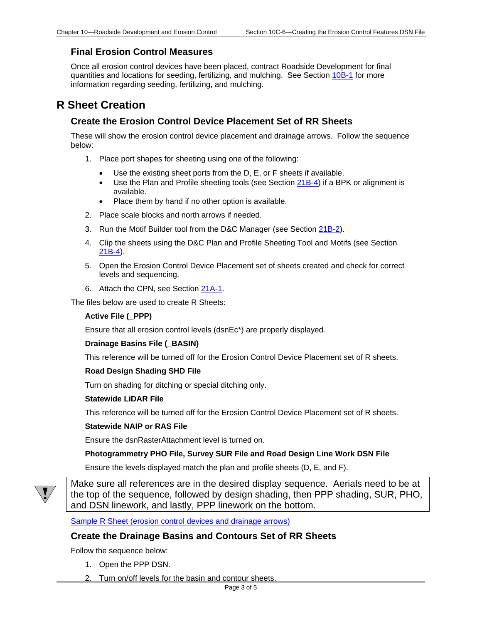#### **Final Erosion Control Measures**

Once all erosion control devices have been placed, contract Roadside Development for final quantities and locations for seeding, fertilizing, and mulching. See Section [10B-1](10b-01.pdf) for more information regarding seeding, fertilizing, and mulching.

## **R Sheet Creation**

#### **Create the Erosion Control Device Placement Set of RR Sheets**

These will show the erosion control device placement and drainage arrows. Follow the sequence below:

- 1. Place port shapes for sheeting using one of the following:
	- Use the existing sheet ports from the D, E, or F sheets if available.
	- Use the Plan and Profile sheeting tools (see Section [21B-4\)](21B-04.pdf) if a BPK or alignment is available.
	- Place them by hand if no other option is available.
- 2. Place scale blocks and north arrows if needed.
- 3. Run the Motif Builder tool from the D&C Manager (see Section [21B-2\)](21B-02.pdf).
- 4. Clip the sheets using the D&C Plan and Profile Sheeting Tool and Motifs (see Section [21B-4\)](21B-04.pdf).
- 5. Open the Erosion Control Device Placement set of sheets created and check for correct levels and sequencing.
- 6. Attach the CPN, see Section [21A-1.](21A-01.pdf)

The files below are used to create R Sheets:

#### **Active File (\_PPP)**

Ensure that all erosion control levels (dsnEc\*) are properly displayed.

#### **Drainage Basins File (\_BASIN)**

This reference will be turned off for the Erosion Control Device Placement set of R sheets.

#### **Road Design Shading SHD File**

Turn on shading for ditching or special ditching only.

#### **Statewide LiDAR File**

This reference will be turned off for the Erosion Control Device Placement set of R sheets.

#### **Statewide NAIP or RAS File**

Ensure the dsnRasterAttachment level is turned on.

#### **Photogrammetry PHO File, Survey SUR File and Road Design Line Work DSN File**

Ensure the levels displayed match the plan and profile sheets (D, E, and F).



Make sure all references are in the desired display sequence. Aerials need to be at the top of the sequence, followed by design shading, then PPP shading, SUR, PHO, and DSN linework, and lastly, PPP linework on the bottom.

[Sample R Sheet \(erosion control devices and drainage arrows\)](10C-06/Erosion_Control_Device_Placement.pdf)

#### **Create the Drainage Basins and Contours Set of RR Sheets**

Follow the sequence below:

- 1. Open the PPP DSN.
- 2. Turn on/off levels for the basin and contour sheets.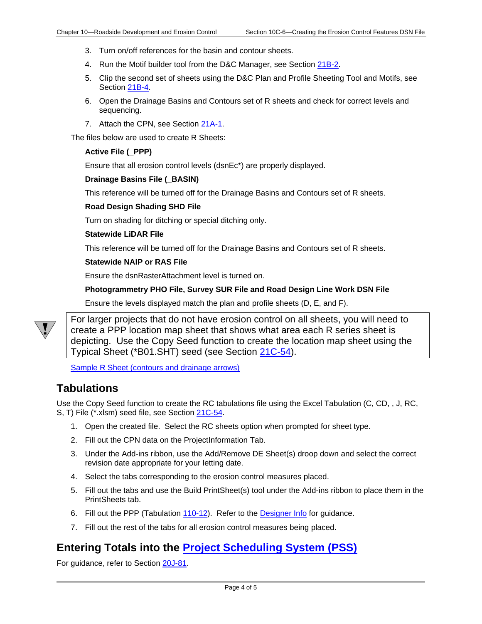- 3. Turn on/off references for the basin and contour sheets.
- 4. Run the Motif builder tool from the D&C Manager, see Section [21B-2.](21B-02.pdf)
- 5. Clip the second set of sheets using the D&C Plan and Profile Sheeting Tool and Motifs, see Section [21B-4.](21B-04.pdf)
- 6. Open the Drainage Basins and Contours set of R sheets and check for correct levels and sequencing.
- 7. Attach the CPN, see Section [21A-1.](21A-01.pdf)

The files below are used to create R Sheets:

#### **Active File (\_PPP)**

Ensure that all erosion control levels (dsnEc\*) are properly displayed.

#### **Drainage Basins File (\_BASIN)**

This reference will be turned off for the Drainage Basins and Contours set of R sheets.

#### **Road Design Shading SHD File**

Turn on shading for ditching or special ditching only.

#### **Statewide LiDAR File**

This reference will be turned off for the Drainage Basins and Contours set of R sheets.

#### **Statewide NAIP or RAS File**

Ensure the dsnRasterAttachment level is turned on.

#### **Photogrammetry PHO File, Survey SUR File and Road Design Line Work DSN File**

Ensure the levels displayed match the plan and profile sheets (D, E, and F).



For larger projects that do not have erosion control on all sheets, you will need to create a PPP location map sheet that shows what area each R series sheet is depicting. Use the Copy Seed function to create the location map sheet using the Typical Sheet (\*B01.SHT) seed (see Section [21C-54\)](21C-54.pdf).

[Sample R Sheet \(contours and drainage arrows\)](10C-06/Drainage_Basin_Contour.pdf)

### **Tabulations**

Use the Copy Seed function to create the RC tabulations file using the Excel Tabulation (C, CD, , J, RC, S, T) File (\*.xlsm) seed file, see Section [21C-54.](21C-54.pdf)

- 1. Open the created file. Select the RC sheets option when prompted for sheet type.
- 2. Fill out the CPN data on the ProjectInformation Tab.
- 3. Under the Add-ins ribbon, use the Add/Remove DE Sheet(s) droop down and select the correct revision date appropriate for your letting date.
- 4. Select the tabs corresponding to the erosion control measures placed.
- 5. Fill out the tabs and use the Build PrintSheet(s) tool under the Add-ins ribbon to place them in the PrintSheets tab.
- 6. Fill out the PPP (Tabulation [110-12\)](../tnt/PDFsandWebFiles/IndividualPDFs/e0110-12.pdf). Refer to the [Designer Info](01E-07/110-12.pdf) for guidance.
- 7. Fill out the rest of the tabs for all erosion control measures being placed.

### **Entering Totals into the [Project Scheduling System \(PSS\)](01B-01/PSS.pdf)**

For guidance, refer to Section [20J-81.](20J-81.pdf)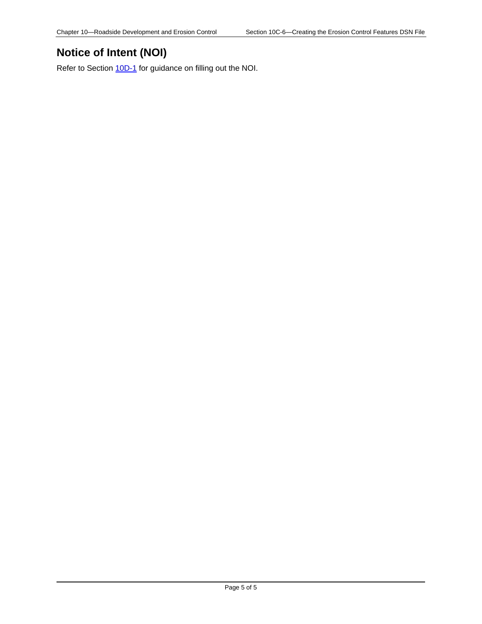## **Notice of Intent (NOI)**

Refer to Section  $\underline{10D-1}$  for guidance on filling out the NOI.